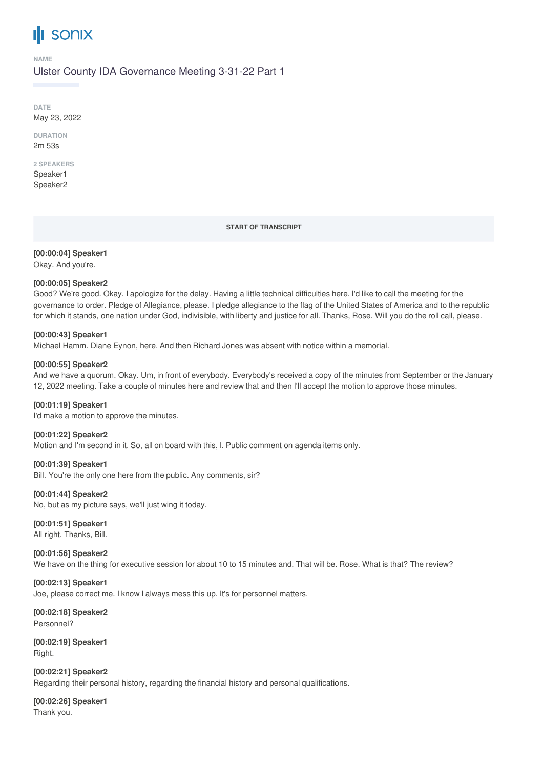## Ш **SONIX**

**NAME**

Ulster County IDA Governance Meeting 3-31-22 Part 1

**DATE** May 23, 2022

**DURATION** 2m 53s

#### **2 SPEAKERS** Speaker1

Speaker2

#### **START OF TRANSCRIPT**

**[00:00:04] Speaker1**

Okay. And you're.

## **[00:00:05] Speaker2**

Good? We're good. Okay. I apologize for the delay. Having a little technical difficulties here. I'd like to call the meeting for the governance to order. Pledge of Allegiance, please. I pledge allegiance to the flag of the United States of America and to the republic for which it stands, one nation under God, indivisible, with liberty and justice for all. Thanks, Rose. Will you do the roll call, please.

## **[00:00:43] Speaker1**

Michael Hamm. Diane Eynon, here. And then Richard Jones was absent with notice within a memorial.

### **[00:00:55] Speaker2**

And we have a quorum. Okay. Um, in front of everybody. Everybody's received a copy of the minutes from September or the January 12, 2022 meeting. Take a couple of minutes here and review that and then I'll accept the motion to approve those minutes.

### **[00:01:19] Speaker1**

I'd make a motion to approve the minutes.

**[00:01:22] Speaker2**

Motion and I'm second in it. So, all on board with this, I. Public comment on agenda items only.

### **[00:01:39] Speaker1**

Bill. You're the only one here from the public. Any comments, sir?

### **[00:01:44] Speaker2**

No, but as my picture says, we'll just wing it today.

**[00:01:51] Speaker1** All right. Thanks, Bill.

**[00:01:56] Speaker2** We have on the thing for executive session for about 10 to 15 minutes and. That will be. Rose. What is that? The review?

**[00:02:13] Speaker1** Joe, please correct me. I know I always mess this up. It's for personnel matters.

**[00:02:18] Speaker2** Personnel?

**[00:02:19] Speaker1** Right.

**[00:02:21] Speaker2** Regarding their personal history, regarding the financial history and personal qualifications.

**[00:02:26] Speaker1** Thank you.